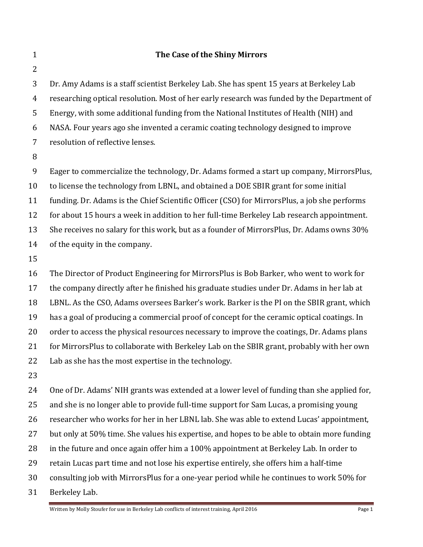2

## **1 The Case of the Shiny Mirrors**

3 Dr. Amy Adams is a staff scientist Berkeley Lab. She has spent 15 years at Berkeley Lab 4 researching optical resolution. Most of her early research was funded by the Department of 5 Energy, with some additional funding from the National Institutes of Health (NIH) and 6 NASA. Four years ago she invented a ceramic coating technology designed to improve 7 resolution of reflective lenses.

8

9 Eager to commercialize the technology, Dr. Adams formed a start up company, MirrorsPlus,

10 to license the technology from LBNL, and obtained a DOE SBIR grant for some initial

11 funding. Dr. Adams is the Chief Scientific Officer (CSO) for MirrorsPlus, a job she performs

12 for about 15 hours a week in addition to her full-time Berkeley Lab research appointment.

13 She receives no salary for this work, but as a founder of MirrorsPlus, Dr. Adams owns  $30\%$ 

14 of the equity in the company.

15

16 The Director of Product Engineering for MirrorsPlus is Bob Barker, who went to work for 17 the company directly after he finished his graduate studies under Dr. Adams in her lab at 18 LBNL. As the CSO, Adams oversees Barker's work. Barker is the PI on the SBIR grant, which 19 has a goal of producing a commercial proof of concept for the ceramic optical coatings. In 20 order to access the physical resources necessary to improve the coatings, Dr. Adams plans 21 for MirrorsPlus to collaborate with Berkeley Lab on the SBIR grant, probably with her own 22 Lab as she has the most expertise in the technology.

23

24 One of Dr. Adams' NIH grants was extended at a lower level of funding than she applied for, 25 and she is no longer able to provide full-time support for Sam Lucas, a promising young 26 researcher who works for her in her LBNL lab. She was able to extend Lucas' appointment, 27 but only at 50% time. She values his expertise, and hopes to be able to obtain more funding 28 in the future and once again offer him a 100% appointment at Berkeley Lab. In order to 29 retain Lucas part time and not lose his expertise entirely, she offers him a half-time 30 consulting job with MirrorsPlus for a one-year period while he continues to work 50% for

31 Berkeley Lab.